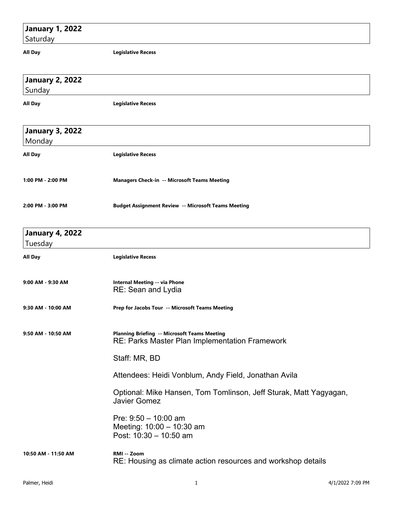## **January 1, 2022**

Saturday

**All Day Legislative Recess**

| <b>January 2, 2022</b> |                                                                                                       |
|------------------------|-------------------------------------------------------------------------------------------------------|
| Sunday                 |                                                                                                       |
| All Day                | <b>Legislative Recess</b>                                                                             |
|                        |                                                                                                       |
| <b>January 3, 2022</b> |                                                                                                       |
| Monday                 |                                                                                                       |
| All Day                | <b>Legislative Recess</b>                                                                             |
|                        |                                                                                                       |
| 1:00 PM - 2:00 PM      | <b>Managers Check-in -- Microsoft Teams Meeting</b>                                                   |
|                        |                                                                                                       |
| 2:00 PM - 3:00 PM      | <b>Budget Assignment Review -- Microsoft Teams Meeting</b>                                            |
|                        |                                                                                                       |
| <b>January 4, 2022</b> |                                                                                                       |
| Tuesday                |                                                                                                       |
| All Day                | <b>Legislative Recess</b>                                                                             |
|                        |                                                                                                       |
| 9:00 AM - 9:30 AM      | <b>Internal Meeting -- via Phone</b><br>RE: Sean and Lydia                                            |
|                        |                                                                                                       |
| 9:30 AM - 10:00 AM     | Prep for Jacobs Tour -- Microsoft Teams Meeting                                                       |
|                        |                                                                                                       |
| 9:50 AM - 10:50 AM     | <b>Planning Briefing -- Microsoft Teams Meeting</b><br>RE: Parks Master Plan Implementation Framework |
|                        |                                                                                                       |
|                        | Staff: MR, BD                                                                                         |
|                        | Attendees: Heidi Vonblum, Andy Field, Jonathan Avila                                                  |
|                        | Optional: Mike Hansen, Tom Tomlinson, Jeff Sturak, Matt Yagyagan,                                     |
|                        | <b>Javier Gomez</b>                                                                                   |
|                        | Pre: $9:50 - 10:00$ am                                                                                |
|                        | Meeting: 10:00 - 10:30 am                                                                             |
|                        | Post: 10:30 - 10:50 am                                                                                |
| 10:50 AM - 11:50 AM    | RMI -- Zoom                                                                                           |
|                        | RE: Housing as climate action resources and workshop details                                          |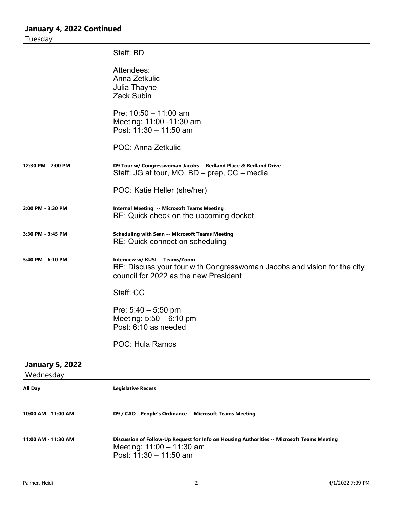| January 4, 2022 Continued<br>Tuesday |                                                                                                                                                     |
|--------------------------------------|-----------------------------------------------------------------------------------------------------------------------------------------------------|
|                                      | Staff: BD                                                                                                                                           |
|                                      | Attendees:<br>Anna Zetkulic<br>Julia Thayne<br><b>Zack Subin</b>                                                                                    |
|                                      | Pre: $10:50 - 11:00$ am<br>Meeting: 11:00 -11:30 am<br>Post: $11:30 - 11:50$ am                                                                     |
|                                      | POC: Anna Zetkulic                                                                                                                                  |
| 12:30 PM - 2:00 PM                   | D9 Tour w/ Congresswoman Jacobs -- Redland Place & Redland Drive<br>Staff: JG at tour, MO, BD – prep, CC – media                                    |
|                                      | POC: Katie Heller (she/her)                                                                                                                         |
| 3:00 PM - 3:30 PM                    | <b>Internal Meeting -- Microsoft Teams Meeting</b><br>RE: Quick check on the upcoming docket                                                        |
| 3:30 PM - 3:45 PM                    | <b>Scheduling with Sean -- Microsoft Teams Meeting</b><br>RE: Quick connect on scheduling                                                           |
| 5:40 PM - 6:10 PM                    | Interview w/ KUSI -- Teams/Zoom<br>RE: Discuss your tour with Congresswoman Jacobs and vision for the city<br>council for 2022 as the new President |
|                                      | Staff: CC                                                                                                                                           |
|                                      | Pre: $5:40 - 5:50$ pm<br>Meeting: $5:50 - 6:10$ pm<br>Post: 6:10 as needed                                                                          |
|                                      | <b>POC: Hula Ramos</b>                                                                                                                              |
| <b>January 5, 2022</b><br>Wednesday  |                                                                                                                                                     |
| All Day                              | <b>Legislative Recess</b>                                                                                                                           |
| 10:00 AM - 11:00 AM                  | D9 / CAO - People's Ordinance -- Microsoft Teams Meeting                                                                                            |
| 11:00 AM - 11:30 AM                  | Discussion of Follow-Up Request for Info on Housing Authorities -- Microsoft Teams Meeting<br>Meeting: 11:00 - 11:30 am                             |

Post: 11:30 – 11:50 am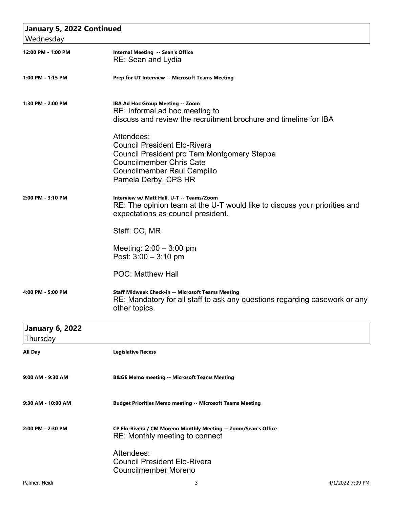| January 5, 2022 Continued |                                                                                                                                                                                                   |
|---------------------------|---------------------------------------------------------------------------------------------------------------------------------------------------------------------------------------------------|
| Wednesday                 |                                                                                                                                                                                                   |
| 12:00 PM - 1:00 PM        | Internal Meeting -- Sean's Office<br>RE: Sean and Lydia                                                                                                                                           |
| 1:00 PM - 1:15 PM         | Prep for UT Interview -- Microsoft Teams Meeting                                                                                                                                                  |
| 1:30 PM - 2:00 PM         | IBA Ad Hoc Group Meeting -- Zoom<br>RE: Informal ad hoc meeting to<br>discuss and review the recruitment brochure and timeline for IBA                                                            |
|                           | Attendees:<br><b>Council President Elo-Rivera</b><br>Council President pro Tem Montgomery Steppe<br><b>Councilmember Chris Cate</b><br><b>Councilmember Raul Campillo</b><br>Pamela Derby, CPS HR |
| 2:00 PM - 3:10 PM         | Interview w/ Matt Hall, U-T -- Teams/Zoom<br>RE: The opinion team at the U-T would like to discuss your priorities and<br>expectations as council president.                                      |
|                           | Staff: CC, MR                                                                                                                                                                                     |
|                           | Meeting: $2:00 - 3:00$ pm<br>Post: $3:00 - 3:10$ pm                                                                                                                                               |
|                           | <b>POC: Matthew Hall</b>                                                                                                                                                                          |
| 4:00 PM - 5:00 PM         | Staff Midweek Check-in -- Microsoft Teams Meeting<br>RE: Mandatory for all staff to ask any questions regarding casework or any<br>other topics.                                                  |
| <b>January 6, 2022</b>    |                                                                                                                                                                                                   |
| Thursday                  |                                                                                                                                                                                                   |
| All Day                   | <b>Legislative Recess</b>                                                                                                                                                                         |
| 9:00 AM - 9:30 AM         | <b>B&amp;GE Memo meeting -- Microsoft Teams Meeting</b>                                                                                                                                           |
| 9:30 AM - 10:00 AM        | <b>Budget Priorities Memo meeting -- Microsoft Teams Meeting</b>                                                                                                                                  |
| 2:00 PM - 2:30 PM         | CP Elo-Rivera / CM Moreno Monthly Meeting -- Zoom/Sean's Office<br>RE: Monthly meeting to connect                                                                                                 |
|                           | Attendees:<br><b>Council President Elo-Rivera</b><br><b>Councilmember Moreno</b>                                                                                                                  |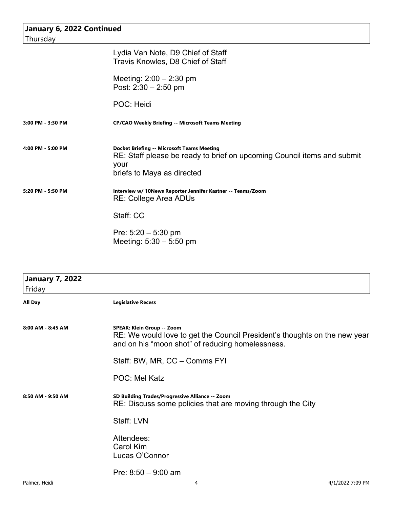| January 6, 2022 Continued |                                                                                                                                                                    |
|---------------------------|--------------------------------------------------------------------------------------------------------------------------------------------------------------------|
| Thursday                  |                                                                                                                                                                    |
|                           | Lydia Van Note, D9 Chief of Staff<br>Travis Knowles, D8 Chief of Staff                                                                                             |
|                           | Meeting: $2:00 - 2:30$ pm<br>Post: $2:30 - 2:50$ pm                                                                                                                |
|                           | POC: Heidi                                                                                                                                                         |
| 3:00 PM - 3:30 PM         | <b>CP/CAO Weekly Briefing -- Microsoft Teams Meeting</b>                                                                                                           |
| 4:00 PM - 5:00 PM         | <b>Docket Briefing -- Microsoft Teams Meeting</b><br>RE: Staff please be ready to brief on upcoming Council items and submit<br>your<br>briefs to Maya as directed |
| 5:20 PM - 5:50 PM         | Interview w/ 10News Reporter Jennifer Kastner -- Teams/Zoom<br><b>RE: College Area ADUs</b>                                                                        |
|                           | Staff: CC                                                                                                                                                          |
|                           | Pre: $5:20 - 5:30$ pm<br>Meeting: $5:30 - 5:50$ pm                                                                                                                 |

| <b>January 7, 2022</b> |                                                                                                                                                             |
|------------------------|-------------------------------------------------------------------------------------------------------------------------------------------------------------|
| Friday                 |                                                                                                                                                             |
| All Day                | <b>Legislative Recess</b>                                                                                                                                   |
| 8:00 AM - 8:45 AM      | SPEAK: Klein Group -- Zoom<br>RE: We would love to get the Council President's thoughts on the new year<br>and on his "moon shot" of reducing homelessness. |
|                        | Staff: BW, MR, CC - Comms FYI                                                                                                                               |
|                        | <b>POC: Mel Katz</b>                                                                                                                                        |
| 8:50 AM - 9:50 AM      | SD Building Trades/Progressive Alliance -- Zoom<br>RE: Discuss some policies that are moving through the City                                               |
|                        | Staff: LVN                                                                                                                                                  |
|                        | Attendees:<br>Carol Kim<br>Lucas O'Connor                                                                                                                   |
|                        | Pre: $8:50 - 9:00$ am                                                                                                                                       |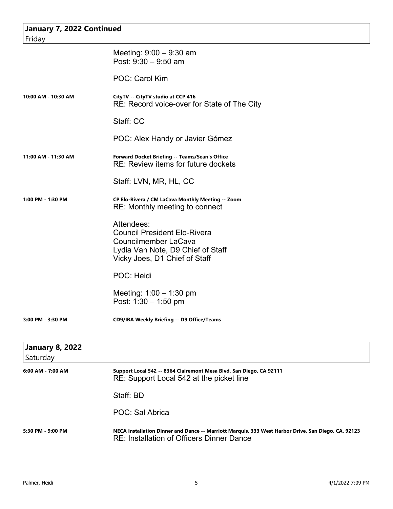| January 7, 2022 Continued |                                                                                                                                                         |
|---------------------------|---------------------------------------------------------------------------------------------------------------------------------------------------------|
| Friday                    |                                                                                                                                                         |
|                           | Meeting: $9:00 - 9:30$ am<br>Post: $9:30 - 9:50$ am                                                                                                     |
|                           | POC: Carol Kim                                                                                                                                          |
| 10:00 AM - 10:30 AM       | CityTV -- CityTV studio at CCP 416<br>RE: Record voice-over for State of The City                                                                       |
|                           | Staff: CC                                                                                                                                               |
|                           | POC: Alex Handy or Javier Gómez                                                                                                                         |
| 11:00 AM - 11:30 AM       | Forward Docket Briefing -- Teams/Sean's Office<br>RE: Review items for future dockets                                                                   |
|                           | Staff: LVN, MR, HL, CC                                                                                                                                  |
| 1:00 PM - 1:30 PM         | CP Elo-Rivera / CM LaCava Monthly Meeting -- Zoom<br>RE: Monthly meeting to connect                                                                     |
|                           | Attendees:<br><b>Council President Elo-Rivera</b><br>Councilmember LaCava<br>Lydia Van Note, D9 Chief of Staff<br>Vicky Joes, D1 Chief of Staff         |
|                           | POC: Heidi                                                                                                                                              |
|                           | Meeting: $1:00 - 1:30$ pm<br>Post: $1:30 - 1:50$ pm                                                                                                     |
| 3:00 PM - 3:30 PM         | CD9/IBA Weekly Briefing -- D9 Office/Teams                                                                                                              |
| <b>January 8, 2022</b>    |                                                                                                                                                         |
| Saturday                  |                                                                                                                                                         |
| 6:00 AM - 7:00 AM         | Support Local 542 -- 8364 Clairemont Mesa Blvd, San Diego, CA 92111<br>RE: Support Local 542 at the picket line                                         |
|                           | Staff: BD                                                                                                                                               |
|                           | POC: Sal Abrica                                                                                                                                         |
| 5:30 PM - 9:00 PM         | NECA Installation Dinner and Dance -- Marriott Marquis, 333 West Harbor Drive, San Diego, CA. 92123<br><b>RE: Installation of Officers Dinner Dance</b> |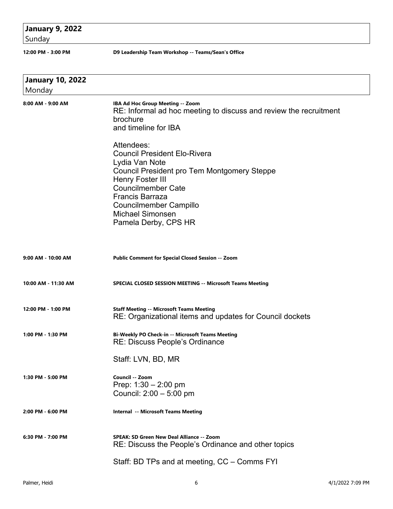## **January 9, 2022**

Sunday

**12:00 PM - 3:00 PM D9 Leadership Team Workshop -- Teams/Sean's Office** 

| <b>January 10, 2022</b><br>Monday |                                                                                                                                                                                                                                                                                                                                                                                                                                       |
|-----------------------------------|---------------------------------------------------------------------------------------------------------------------------------------------------------------------------------------------------------------------------------------------------------------------------------------------------------------------------------------------------------------------------------------------------------------------------------------|
| 8:00 AM - 9:00 AM                 | IBA Ad Hoc Group Meeting -- Zoom<br>RE: Informal ad hoc meeting to discuss and review the recruitment<br>brochure<br>and timeline for IBA<br>Attendees:<br><b>Council President Elo-Rivera</b><br>Lydia Van Note<br><b>Council President pro Tem Montgomery Steppe</b><br>Henry Foster III<br><b>Councilmember Cate</b><br><b>Francis Barraza</b><br><b>Councilmember Campillo</b><br><b>Michael Simonsen</b><br>Pamela Derby, CPS HR |
| 9:00 AM - 10:00 AM                | <b>Public Comment for Special Closed Session -- Zoom</b>                                                                                                                                                                                                                                                                                                                                                                              |
| 10:00 AM - 11:30 AM               | <b>SPECIAL CLOSED SESSION MEETING -- Microsoft Teams Meeting</b>                                                                                                                                                                                                                                                                                                                                                                      |
| 12:00 PM - 1:00 PM                | <b>Staff Meeting -- Microsoft Teams Meeting</b><br>RE: Organizational items and updates for Council dockets                                                                                                                                                                                                                                                                                                                           |
| 1:00 PM - 1:30 PM                 | Bi-Weekly PO Check-in -- Microsoft Teams Meeting<br><b>RE: Discuss People's Ordinance</b>                                                                                                                                                                                                                                                                                                                                             |
| 1:30 PM - 5:00 PM                 | Staff: LVN, BD, MR<br>Council -- Zoom<br>Prep: $1:30 - 2:00$ pm<br>Council: 2:00 - 5:00 pm                                                                                                                                                                                                                                                                                                                                            |
| 2:00 PM - 6:00 PM                 | <b>Internal -- Microsoft Teams Meeting</b>                                                                                                                                                                                                                                                                                                                                                                                            |
| 6:30 PM - 7:00 PM                 | SPEAK: SD Green New Deal Alliance -- Zoom<br>RE: Discuss the People's Ordinance and other topics                                                                                                                                                                                                                                                                                                                                      |
|                                   | Staff: BD TPs and at meeting, CC – Comms FYI                                                                                                                                                                                                                                                                                                                                                                                          |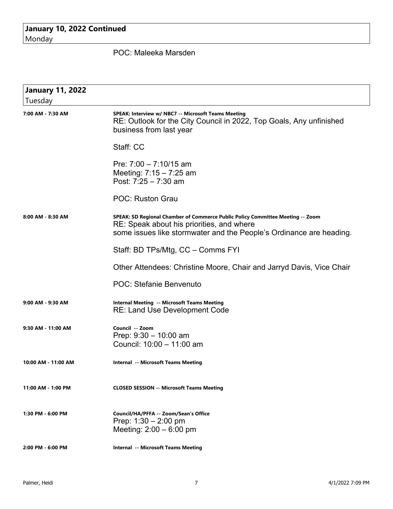### **January 10, 2022 Continued** Monday

POC: Maleeka Marsden

| <b>January 11, 2022</b> |                                                                                                                                                                                                    |
|-------------------------|----------------------------------------------------------------------------------------------------------------------------------------------------------------------------------------------------|
| Tuesday                 |                                                                                                                                                                                                    |
| 7:00 AM - 7:30 AM       | SPEAK: Interview w/ NBC7 -- Microsoft Teams Meeting<br>RE: Outlook for the City Council in 2022, Top Goals, Any unfinished<br>business from last year                                              |
|                         | Staff: CC                                                                                                                                                                                          |
|                         | Pre: $7:00 - 7:10/15$ am<br>Meeting: $7:15 - 7:25$ am<br>Post: $7:25 - 7:30$ am                                                                                                                    |
|                         | <b>POC: Ruston Grau</b>                                                                                                                                                                            |
| 8:00 AM - 8:30 AM       | SPEAK: SD Regional Chamber of Commerce Public Policy Committee Meeting -- Zoom<br>RE: Speak about his priorities, and where<br>some issues like stormwater and the People's Ordinance are heading. |
|                         | Staff: BD TPs/Mtg, CC - Comms FYI                                                                                                                                                                  |
|                         | Other Attendees: Christine Moore, Chair and Jarryd Davis, Vice Chair                                                                                                                               |
|                         | <b>POC: Stefanie Benvenuto</b>                                                                                                                                                                     |
| 9:00 AM - 9:30 AM       | Internal Meeting -- Microsoft Teams Meeting<br><b>RE: Land Use Development Code</b>                                                                                                                |
| 9:30 AM - 11:00 AM      | Council -- Zoom<br>Prep: $9:30 - 10:00$ am<br>Council: 10:00 - 11:00 am                                                                                                                            |
| 10:00 AM - 11:00 AM     | <b>Internal -- Microsoft Teams Meeting</b>                                                                                                                                                         |
| 11:00 AM - 1:00 PM      | <b>CLOSED SESSION -- Microsoft Teams Meeting</b>                                                                                                                                                   |
| 1:30 PM - 6:00 PM       | Council/HA/PFFA -- Zoom/Sean's Office<br>Prep: $1:30 - 2:00$ pm<br>Meeting: $2:00 - 6:00$ pm                                                                                                       |
| 2:00 PM - 6:00 PM       | <b>Internal -- Microsoft Teams Meeting</b>                                                                                                                                                         |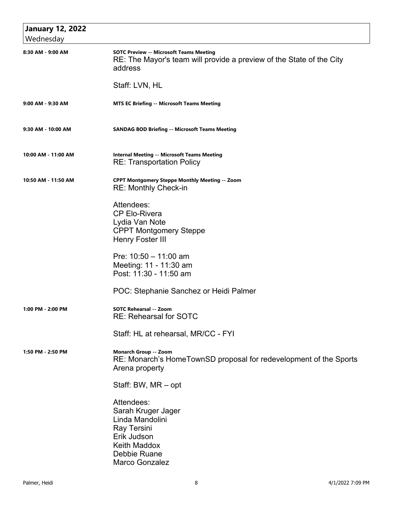| <b>January 12, 2022</b><br>Wednesday |                                                                                                                                                   |
|--------------------------------------|---------------------------------------------------------------------------------------------------------------------------------------------------|
| 8:30 AM - 9:00 AM                    | <b>SOTC Preview -- Microsoft Teams Meeting</b><br>RE: The Mayor's team will provide a preview of the State of the City<br>address                 |
|                                      | Staff: LVN, HL                                                                                                                                    |
| 9:00 AM - 9:30 AM                    | <b>MTS EC Briefing -- Microsoft Teams Meeting</b>                                                                                                 |
| 9:30 AM - 10:00 AM                   | <b>SANDAG BOD Briefing -- Microsoft Teams Meeting</b>                                                                                             |
| 10:00 AM - 11:00 AM                  | <b>Internal Meeting -- Microsoft Teams Meeting</b><br><b>RE: Transportation Policy</b>                                                            |
| 10:50 AM - 11:50 AM                  | <b>CPPT Montgomery Steppe Monthly Meeting -- Zoom</b><br><b>RE: Monthly Check-in</b>                                                              |
|                                      | Attendees:<br><b>CP Elo-Rivera</b><br>Lydia Van Note<br><b>CPPT Montgomery Steppe</b><br><b>Henry Foster III</b>                                  |
|                                      | Pre: 10:50 - 11:00 am<br>Meeting: 11 - 11:30 am<br>Post: 11:30 - 11:50 am                                                                         |
|                                      | POC: Stephanie Sanchez or Heidi Palmer                                                                                                            |
| 1:00 PM - 2:00 PM                    | SOTC Rehearsal -- Zoom<br><b>RE: Rehearsal for SOTC</b>                                                                                           |
|                                      | Staff: HL at rehearsal, MR/CC - FYI                                                                                                               |
| 1:50 PM - 2:50 PM                    | <b>Monarch Group -- Zoom</b><br>RE: Monarch's HomeTownSD proposal for redevelopment of the Sports<br>Arena property                               |
|                                      | Staff: BW, MR - opt                                                                                                                               |
|                                      | Attendees:<br>Sarah Kruger Jager<br>Linda Mandolini<br>Ray Tersini<br>Erik Judson<br><b>Keith Maddox</b><br>Debbie Ruane<br><b>Marco Gonzalez</b> |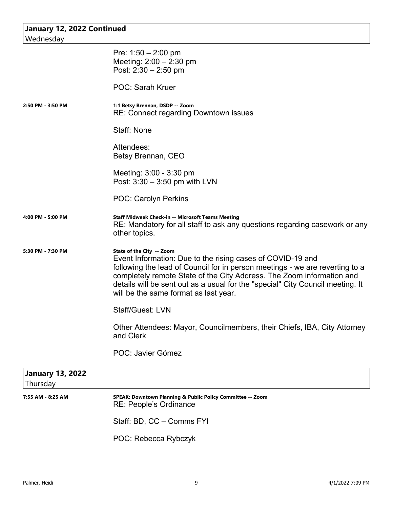| Wednesday                           | January 12, 2022 Continued                                                                                                                                                                                                                                                                                                                                                  |  |
|-------------------------------------|-----------------------------------------------------------------------------------------------------------------------------------------------------------------------------------------------------------------------------------------------------------------------------------------------------------------------------------------------------------------------------|--|
|                                     |                                                                                                                                                                                                                                                                                                                                                                             |  |
|                                     | Pre: $1:50 - 2:00$ pm                                                                                                                                                                                                                                                                                                                                                       |  |
|                                     | Meeting: $2:00 - 2:30$ pm                                                                                                                                                                                                                                                                                                                                                   |  |
|                                     | Post: $2:30 - 2:50$ pm                                                                                                                                                                                                                                                                                                                                                      |  |
|                                     | <b>POC: Sarah Kruer</b>                                                                                                                                                                                                                                                                                                                                                     |  |
| 2:50 PM - 3:50 PM                   | 1:1 Betsy Brennan, DSDP -- Zoom<br>RE: Connect regarding Downtown issues                                                                                                                                                                                                                                                                                                    |  |
|                                     | Staff: None                                                                                                                                                                                                                                                                                                                                                                 |  |
|                                     | Attendees:                                                                                                                                                                                                                                                                                                                                                                  |  |
|                                     | Betsy Brennan, CEO                                                                                                                                                                                                                                                                                                                                                          |  |
|                                     | Meeting: 3:00 - 3:30 pm                                                                                                                                                                                                                                                                                                                                                     |  |
|                                     | Post: $3:30 - 3:50$ pm with LVN                                                                                                                                                                                                                                                                                                                                             |  |
|                                     |                                                                                                                                                                                                                                                                                                                                                                             |  |
|                                     | <b>POC: Carolyn Perkins</b>                                                                                                                                                                                                                                                                                                                                                 |  |
| 4:00 PM - 5:00 PM                   | <b>Staff Midweek Check-in -- Microsoft Teams Meeting</b><br>RE: Mandatory for all staff to ask any questions regarding casework or any<br>other topics.                                                                                                                                                                                                                     |  |
| 5:30 PM - 7:30 PM                   | State of the City -- Zoom<br>Event Information: Due to the rising cases of COVID-19 and<br>following the lead of Council for in person meetings - we are reverting to a<br>completely remote State of the City Address. The Zoom information and<br>details will be sent out as a usual for the "special" City Council meeting. It<br>will be the same format as last year. |  |
|                                     | <b>Staff/Guest: LVN</b>                                                                                                                                                                                                                                                                                                                                                     |  |
|                                     | Other Attendees: Mayor, Councilmembers, their Chiefs, IBA, City Attorney<br>and Clerk                                                                                                                                                                                                                                                                                       |  |
|                                     | POC: Javier Gómez                                                                                                                                                                                                                                                                                                                                                           |  |
| <b>January 13, 2022</b><br>Thursday |                                                                                                                                                                                                                                                                                                                                                                             |  |
| 7:55 AM - 8:25 AM                   | SPEAK: Downtown Planning & Public Policy Committee -- Zoom<br><b>RE: People's Ordinance</b>                                                                                                                                                                                                                                                                                 |  |
|                                     | Staff: BD, CC - Comms FYI                                                                                                                                                                                                                                                                                                                                                   |  |

POC: Rebecca Rybczyk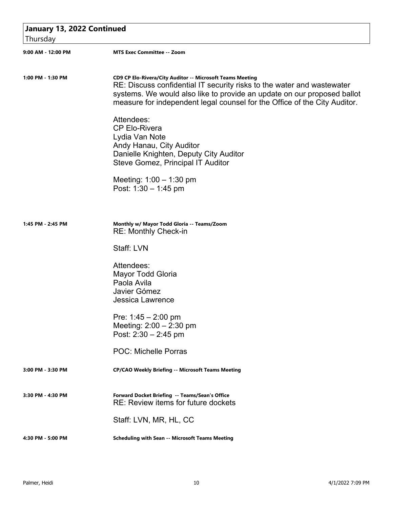| January 13, 2022 Continued<br>Thursday |                                                                                                                                                                                                                                                                                             |  |
|----------------------------------------|---------------------------------------------------------------------------------------------------------------------------------------------------------------------------------------------------------------------------------------------------------------------------------------------|--|
| 9:00 AM - 12:00 PM                     | <b>MTS Exec Committee -- Zoom</b>                                                                                                                                                                                                                                                           |  |
| 1:00 PM - 1:30 PM                      | CD9 CP Elo-Rivera/City Auditor -- Microsoft Teams Meeting<br>RE: Discuss confidential IT security risks to the water and wastewater<br>systems. We would also like to provide an update on our proposed ballot<br>measure for independent legal counsel for the Office of the City Auditor. |  |
|                                        | Attendees:<br><b>CP Elo-Rivera</b><br>Lydia Van Note<br>Andy Hanau, City Auditor<br>Danielle Knighten, Deputy City Auditor<br><b>Steve Gomez, Principal IT Auditor</b>                                                                                                                      |  |
|                                        | Meeting: $1:00 - 1:30$ pm<br>Post: $1:30 - 1:45$ pm                                                                                                                                                                                                                                         |  |
| 1:45 PM - 2:45 PM                      | Monthly w/ Mayor Todd Gloria -- Teams/Zoom<br>RE: Monthly Check-in                                                                                                                                                                                                                          |  |
|                                        | Staff: LVN                                                                                                                                                                                                                                                                                  |  |
|                                        | Attendees:<br><b>Mayor Todd Gloria</b><br>Paola Avila<br>Javier Gómez<br><b>Jessica Lawrence</b>                                                                                                                                                                                            |  |
|                                        | Pre: $1:45 - 2:00$ pm<br>Meeting: $2:00 - 2:30$ pm<br>Post: $2:30 - 2:45$ pm                                                                                                                                                                                                                |  |
|                                        | <b>POC: Michelle Porras</b>                                                                                                                                                                                                                                                                 |  |
| 3:00 PM - 3:30 PM                      | <b>CP/CAO Weekly Briefing -- Microsoft Teams Meeting</b>                                                                                                                                                                                                                                    |  |
| 3:30 PM - 4:30 PM                      | Forward Docket Briefing -- Teams/Sean's Office<br>RE: Review items for future dockets                                                                                                                                                                                                       |  |
|                                        | Staff: LVN, MR, HL, CC                                                                                                                                                                                                                                                                      |  |
| 4:30 PM - 5:00 PM                      | Scheduling with Sean -- Microsoft Teams Meeting                                                                                                                                                                                                                                             |  |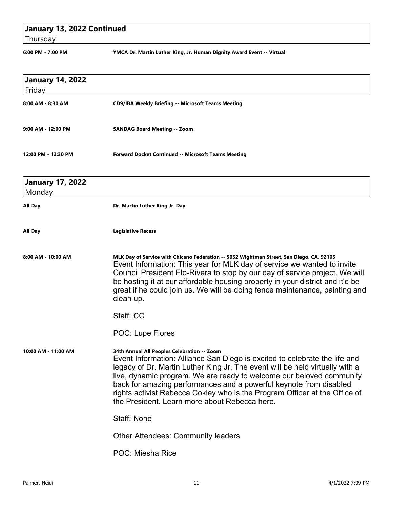# **January 13, 2022 Continued**

Thursday

**6:00 PM - 7:00 PM YMCA Dr. Martin Luther King, Jr. Human Dignity Award Event -- Virtual**

| <b>January 14, 2022</b>           |                                                                                                                                                                                                                                                                                                                                                                                                                                                                                        |
|-----------------------------------|----------------------------------------------------------------------------------------------------------------------------------------------------------------------------------------------------------------------------------------------------------------------------------------------------------------------------------------------------------------------------------------------------------------------------------------------------------------------------------------|
| Friday                            |                                                                                                                                                                                                                                                                                                                                                                                                                                                                                        |
| 8:00 AM - 8:30 AM                 | <b>CD9/IBA Weekly Briefing -- Microsoft Teams Meeting</b>                                                                                                                                                                                                                                                                                                                                                                                                                              |
| 9:00 AM - 12:00 PM                | <b>SANDAG Board Meeting -- Zoom</b>                                                                                                                                                                                                                                                                                                                                                                                                                                                    |
| 12:00 PM - 12:30 PM               | <b>Forward Docket Continued -- Microsoft Teams Meeting</b>                                                                                                                                                                                                                                                                                                                                                                                                                             |
| <b>January 17, 2022</b><br>Monday |                                                                                                                                                                                                                                                                                                                                                                                                                                                                                        |
| All Day                           | Dr. Martin Luther King Jr. Day                                                                                                                                                                                                                                                                                                                                                                                                                                                         |
| All Day                           | <b>Legislative Recess</b>                                                                                                                                                                                                                                                                                                                                                                                                                                                              |
| 8:00 AM - 10:00 AM                | MLK Day of Service with Chicano Federation -- 5052 Wightman Street, San Diego, CA, 92105<br>Event Information: This year for MLK day of service we wanted to invite<br>Council President Elo-Rivera to stop by our day of service project. We will<br>be hosting it at our affordable housing property in your district and it'd be<br>great if he could join us. We will be doing fence maintenance, painting and<br>clean up.                                                        |
|                                   | Staff: CC                                                                                                                                                                                                                                                                                                                                                                                                                                                                              |
|                                   | <b>POC: Lupe Flores</b>                                                                                                                                                                                                                                                                                                                                                                                                                                                                |
| 10:00 AM - 11:00 AM               | 34th Annual All Peoples Celebration -- Zoom<br>Event Information: Alliance San Diego is excited to celebrate the life and<br>legacy of Dr. Martin Luther King Jr. The event will be held virtually with a<br>live, dynamic program. We are ready to welcome our beloved community<br>back for amazing performances and a powerful keynote from disabled<br>rights activist Rebecca Cokley who is the Program Officer at the Office of<br>the President. Learn more about Rebecca here. |
|                                   | <b>Staff: None</b>                                                                                                                                                                                                                                                                                                                                                                                                                                                                     |
|                                   | <b>Other Attendees: Community leaders</b>                                                                                                                                                                                                                                                                                                                                                                                                                                              |
|                                   | POC: Miesha Rice                                                                                                                                                                                                                                                                                                                                                                                                                                                                       |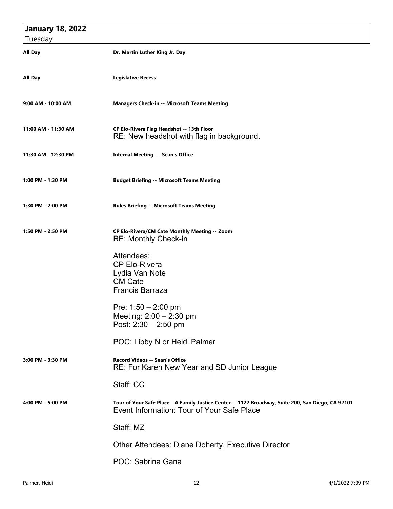| <b>January 18, 2022</b> |                                                                                                                                                  |
|-------------------------|--------------------------------------------------------------------------------------------------------------------------------------------------|
| Tuesday                 |                                                                                                                                                  |
| All Day                 | Dr. Martin Luther King Jr. Day                                                                                                                   |
| All Day                 | <b>Legislative Recess</b>                                                                                                                        |
| 9:00 AM - 10:00 AM      | <b>Managers Check-in -- Microsoft Teams Meeting</b>                                                                                              |
| 11:00 AM - 11:30 AM     | CP Elo-Rivera Flag Headshot -- 13th Floor<br>RE: New headshot with flag in background.                                                           |
| 11:30 AM - 12:30 PM     | Internal Meeting -- Sean's Office                                                                                                                |
| 1:00 PM - 1:30 PM       | <b>Budget Briefing -- Microsoft Teams Meeting</b>                                                                                                |
| 1:30 PM - 2:00 PM       | <b>Rules Briefing -- Microsoft Teams Meeting</b>                                                                                                 |
| 1:50 PM - 2:50 PM       | CP Elo-Rivera/CM Cate Monthly Meeting -- Zoom<br><b>RE: Monthly Check-in</b>                                                                     |
|                         | Attendees:<br><b>CP Elo-Rivera</b><br>Lydia Van Note<br><b>CM Cate</b><br><b>Francis Barraza</b>                                                 |
|                         | Pre: $1:50 - 2:00$ pm<br>Meeting: 2:00 - 2:30 pm<br>Post: $2:30 - 2:50$ pm                                                                       |
|                         | POC: Libby N or Heidi Palmer                                                                                                                     |
| 3:00 PM - 3:30 PM       | <b>Record Videos -- Sean's Office</b><br>RE: For Karen New Year and SD Junior League                                                             |
|                         | Staff: CC                                                                                                                                        |
| 4:00 PM - 5:00 PM       | Tour of Your Safe Place - A Family Justice Center -- 1122 Broadway, Suite 200, San Diego, CA 92101<br>Event Information: Tour of Your Safe Place |
|                         | Staff: MZ                                                                                                                                        |
|                         | Other Attendees: Diane Doherty, Executive Director                                                                                               |
|                         | POC: Sabrina Gana                                                                                                                                |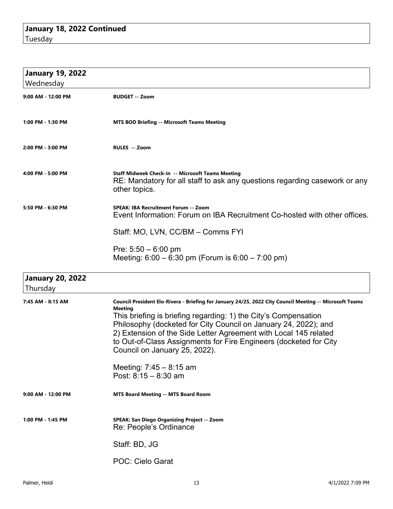| <b>January 19, 2022</b>             |                                                                                                                                                                                                                                                                                                                                                                                                                                                                                                |
|-------------------------------------|------------------------------------------------------------------------------------------------------------------------------------------------------------------------------------------------------------------------------------------------------------------------------------------------------------------------------------------------------------------------------------------------------------------------------------------------------------------------------------------------|
| Wednesday                           |                                                                                                                                                                                                                                                                                                                                                                                                                                                                                                |
| 9:00 AM - 12:00 PM                  | <b>BUDGET -- Zoom</b>                                                                                                                                                                                                                                                                                                                                                                                                                                                                          |
| 1:00 PM - 1:30 PM                   | <b>MTS BOD Briefing -- Microsoft Teams Meeting</b>                                                                                                                                                                                                                                                                                                                                                                                                                                             |
| 2:00 PM - 3:00 PM                   | <b>RULES -- Zoom</b>                                                                                                                                                                                                                                                                                                                                                                                                                                                                           |
| 4:00 PM - 5:00 PM                   | Staff Midweek Check-in -- Microsoft Teams Meeting<br>RE: Mandatory for all staff to ask any questions regarding casework or any<br>other topics.                                                                                                                                                                                                                                                                                                                                               |
| 5:50 PM - 6:30 PM                   | <b>SPEAK: IBA Recruitment Forum -- Zoom</b><br>Event Information: Forum on IBA Recruitment Co-hosted with other offices.                                                                                                                                                                                                                                                                                                                                                                       |
|                                     | Staff: MO, LVN, CC/BM - Comms FYI                                                                                                                                                                                                                                                                                                                                                                                                                                                              |
|                                     | Pre: $5:50 - 6:00$ pm<br>Meeting: $6:00 - 6:30$ pm (Forum is $6:00 - 7:00$ pm)                                                                                                                                                                                                                                                                                                                                                                                                                 |
| <b>January 20, 2022</b><br>Thursday |                                                                                                                                                                                                                                                                                                                                                                                                                                                                                                |
| 7:45 AM - 8:15 AM                   | Council President Elo-Rivera - Briefing for January 24/25, 2022 City Council Meeting -- Microsoft Teams<br><b>Meeting</b><br>This briefing is briefing regarding: 1) the City's Compensation<br>Philosophy (docketed for City Council on January 24, 2022); and<br>2) Extension of the Side Letter Agreement with Local 145 related<br>to Out-of-Class Assignments for Fire Engineers (docketed for City<br>Council on January 25, 2022).<br>Meeting: $7:45 - 8:15$ am<br>Post: 8:15 - 8:30 am |
| 9:00 AM - 12:00 PM                  | <b>MTS Board Meeting -- MTS Board Room</b>                                                                                                                                                                                                                                                                                                                                                                                                                                                     |
| 1:00 PM - 1:45 PM                   | SPEAK: San Diego Organizing Project -- Zoom<br>Re: People's Ordinance                                                                                                                                                                                                                                                                                                                                                                                                                          |
|                                     | Staff: BD, JG                                                                                                                                                                                                                                                                                                                                                                                                                                                                                  |
|                                     | <b>POC: Cielo Garat</b>                                                                                                                                                                                                                                                                                                                                                                                                                                                                        |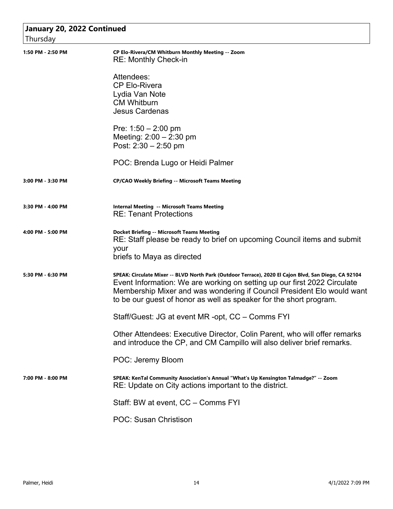| January 20, 2022 Continued |                                                                                                                                                                                                                                                                                                                                  |
|----------------------------|----------------------------------------------------------------------------------------------------------------------------------------------------------------------------------------------------------------------------------------------------------------------------------------------------------------------------------|
| Thursday                   |                                                                                                                                                                                                                                                                                                                                  |
| 1:50 PM - 2:50 PM          | CP Elo-Rivera/CM Whitburn Monthly Meeting -- Zoom<br><b>RE: Monthly Check-in</b>                                                                                                                                                                                                                                                 |
|                            | Attendees:<br><b>CP Elo-Rivera</b><br>Lydia Van Note<br><b>CM Whitburn</b><br><b>Jesus Cardenas</b>                                                                                                                                                                                                                              |
|                            | Pre: $1:50 - 2:00$ pm<br>Meeting: $2:00 - 2:30$ pm<br>Post: 2:30 - 2:50 pm                                                                                                                                                                                                                                                       |
|                            | POC: Brenda Lugo or Heidi Palmer                                                                                                                                                                                                                                                                                                 |
| 3:00 PM - 3:30 PM          | <b>CP/CAO Weekly Briefing -- Microsoft Teams Meeting</b>                                                                                                                                                                                                                                                                         |
| 3:30 PM - 4:00 PM          | <b>Internal Meeting -- Microsoft Teams Meeting</b><br><b>RE: Tenant Protections</b>                                                                                                                                                                                                                                              |
| 4:00 PM - 5:00 PM          | <b>Docket Briefing -- Microsoft Teams Meeting</b><br>RE: Staff please be ready to brief on upcoming Council items and submit<br>your<br>briefs to Maya as directed                                                                                                                                                               |
| 5:30 PM - 6:30 PM          | SPEAK: Circulate Mixer -- BLVD North Park (Outdoor Terrace), 2020 El Cajon Blvd, San Diego, CA 92104<br>Event Information: We are working on setting up our first 2022 Circulate<br>Membership Mixer and was wondering if Council President Elo would want<br>to be our guest of honor as well as speaker for the short program. |
|                            | Staff/Guest: JG at event MR -opt, CC - Comms FYI                                                                                                                                                                                                                                                                                 |
|                            | Other Attendees: Executive Director, Colin Parent, who will offer remarks<br>and introduce the CP, and CM Campillo will also deliver brief remarks.                                                                                                                                                                              |
|                            | POC: Jeremy Bloom                                                                                                                                                                                                                                                                                                                |
| 7:00 PM - 8:00 PM          | SPEAK: KenTal Community Association's Annual "What's Up Kensington Talmadge?" -- Zoom<br>RE: Update on City actions important to the district.                                                                                                                                                                                   |
|                            | Staff: BW at event, CC - Comms FYI                                                                                                                                                                                                                                                                                               |
|                            | <b>POC: Susan Christison</b>                                                                                                                                                                                                                                                                                                     |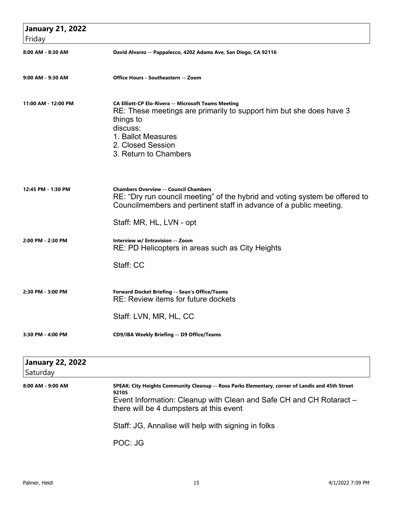| <b>January 21, 2022</b><br>Friday   |                                                                                                                                                                                                                                |
|-------------------------------------|--------------------------------------------------------------------------------------------------------------------------------------------------------------------------------------------------------------------------------|
| 8:00 AM - 8:30 AM                   | David Alvarez -- Pappalecco, 4202 Adams Ave, San Diego, CA 92116                                                                                                                                                               |
| 9:00 AM - 9:30 AM                   | <b>Office Hours - Southeastern -- Zoom</b>                                                                                                                                                                                     |
| 11:00 AM - 12:00 PM                 | <b>CA Elliott-CP Elo-Rivera -- Microsoft Teams Meeting</b><br>RE: These meetings are primarily to support him but she does have 3<br>things to<br>discuss:<br>1. Ballot Measures<br>2. Closed Session<br>3. Return to Chambers |
| 12:45 PM - 1:30 PM                  | <b>Chambers Overview -- Council Chambers</b><br>RE: "Dry run council meeting" of the hybrid and voting system be offered to<br>Councilmembers and pertinent staff in advance of a public meeting.                              |
|                                     | Staff: MR, HL, LVN - opt                                                                                                                                                                                                       |
| 2:00 PM - 2:30 PM                   | Interview w/ Entravision -- Zoom<br>RE: PD Helicopters in areas such as City Heights                                                                                                                                           |
|                                     | Staff: CC                                                                                                                                                                                                                      |
| 2:30 PM - 3:00 PM                   | Forward Docket Briefing -- Sean's Office/Teams<br>RE: Review items for future dockets                                                                                                                                          |
|                                     | Staff: LVN, MR, HL, CC                                                                                                                                                                                                         |
| 3:30 PM - 4:00 PM                   | CD9/IBA Weekly Briefing -- D9 Office/Teams                                                                                                                                                                                     |
| <b>January 22, 2022</b><br>Saturday |                                                                                                                                                                                                                                |
| 8:00 AM - 9:00 AM                   | SPEAK: City Heights Community Cleanup -- Rosa Parks Elementary, corner of Landis and 45th Street<br>92105<br>Event Information: Cleanup with Clean and Safe CH and CH Rotaract -<br>there will be 4 dumpsters at this event    |
|                                     | Staff: JG, Annalise will help with signing in folks                                                                                                                                                                            |

POC: JG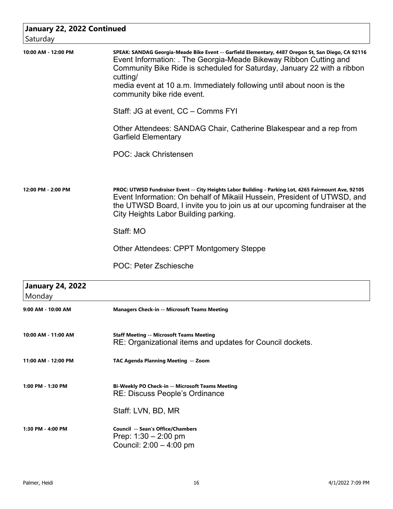| January 22, 2022 Continued        |                                                                                                                                                                                                                                                                                                                                                                    |
|-----------------------------------|--------------------------------------------------------------------------------------------------------------------------------------------------------------------------------------------------------------------------------------------------------------------------------------------------------------------------------------------------------------------|
| Saturday                          |                                                                                                                                                                                                                                                                                                                                                                    |
| 10:00 AM - 12:00 PM               | SPEAK: SANDAG Georgia-Meade Bike Event -- Garfield Elementary, 4487 Oregon St, San Diego, CA 92116<br>Event Information: The Georgia-Meade Bikeway Ribbon Cutting and<br>Community Bike Ride is scheduled for Saturday, January 22 with a ribbon<br>cutting/<br>media event at 10 a.m. Immediately following until about noon is the<br>community bike ride event. |
|                                   | Staff: JG at event, CC - Comms FYI                                                                                                                                                                                                                                                                                                                                 |
|                                   | Other Attendees: SANDAG Chair, Catherine Blakespear and a rep from<br><b>Garfield Elementary</b>                                                                                                                                                                                                                                                                   |
|                                   | POC: Jack Christensen                                                                                                                                                                                                                                                                                                                                              |
|                                   |                                                                                                                                                                                                                                                                                                                                                                    |
| 12:00 PM - 2:00 PM                | PROC: UTWSD Fundraiser Event -- City Heights Labor Building - Parking Lot, 4265 Fairmount Ave, 92105<br>Event Information: On behalf of Mikaiil Hussein, President of UTWSD, and<br>the UTWSD Board, I invite you to join us at our upcoming fundraiser at the<br>City Heights Labor Building parking.                                                             |
|                                   | Staff: MO                                                                                                                                                                                                                                                                                                                                                          |
|                                   | <b>Other Attendees: CPPT Montgomery Steppe</b>                                                                                                                                                                                                                                                                                                                     |
|                                   | POC: Peter Zschiesche                                                                                                                                                                                                                                                                                                                                              |
| <b>January 24, 2022</b><br>Monday |                                                                                                                                                                                                                                                                                                                                                                    |
| 9:00 AM - 10:00 AM                | <b>Managers Check-in -- Microsoft Teams Meeting</b>                                                                                                                                                                                                                                                                                                                |

| 10:00 AM - 11:00 AM     | <b>Staff Meeting -- Microsoft Teams Meeting</b><br>RE: Organizational items and updates for Council dockets. |
|-------------------------|--------------------------------------------------------------------------------------------------------------|
| $11:00$ AM - $12:00$ PM | <b>TAC Agenda Planning Meeting -- Zoom</b>                                                                   |
| 1:00 PM - 1:30 PM       | Bi-Weekly PO Check-in -- Microsoft Teams Meeting<br><b>RE: Discuss People's Ordinance</b>                    |
|                         | Staff: LVN, BD, MR                                                                                           |
| 1:30 PM - 4:00 PM       | Council -- Sean's Office/Chambers<br>Prep: $1:30 - 2:00$ pm<br>Council: $2:00 - 4:00$ pm                     |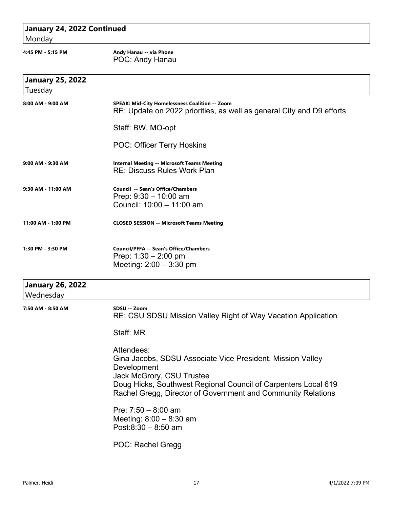| January 24, 2022 Continued<br>Monday |                                                                                                                                                                                                                                                        |  |
|--------------------------------------|--------------------------------------------------------------------------------------------------------------------------------------------------------------------------------------------------------------------------------------------------------|--|
| 4:45 PM - 5:15 PM                    | Andy Hanau -- via Phone<br>POC: Andy Hanau                                                                                                                                                                                                             |  |
| <b>January 25, 2022</b><br>Tuesday   |                                                                                                                                                                                                                                                        |  |
| 8:00 AM - 9:00 AM                    | <b>SPEAK: Mid-City Homelessness Coalition -- Zoom</b><br>RE: Update on 2022 priorities, as well as general City and D9 efforts                                                                                                                         |  |
|                                      | Staff: BW, MO-opt                                                                                                                                                                                                                                      |  |
|                                      | <b>POC: Officer Terry Hoskins</b>                                                                                                                                                                                                                      |  |
| 9:00 AM - 9:30 AM                    | <b>Internal Meeting -- Microsoft Teams Meeting</b><br><b>RE: Discuss Rules Work Plan</b>                                                                                                                                                               |  |
| 9:30 AM - 11:00 AM                   | <b>Council -- Sean's Office/Chambers</b><br>Prep: $9:30 - 10:00$ am<br>Council: 10:00 - 11:00 am                                                                                                                                                       |  |
| 11:00 AM - 1:00 PM                   | <b>CLOSED SESSION -- Microsoft Teams Meeting</b>                                                                                                                                                                                                       |  |
| 1:30 PM - 3:30 PM                    | <b>Council/PFFA -- Sean's Office/Chambers</b><br>Prep: $1:30 - 2:00$ pm<br>Meeting: $2:00 - 3:30$ pm                                                                                                                                                   |  |
| <b>January 26, 2022</b><br>Wednesday |                                                                                                                                                                                                                                                        |  |
| 7:50 AM - 8:50 AM                    | SDSU -- Zoom<br>RE: CSU SDSU Mission Valley Right of Way Vacation Application                                                                                                                                                                          |  |
|                                      | Staff: MR                                                                                                                                                                                                                                              |  |
|                                      | Attendees:<br>Gina Jacobs, SDSU Associate Vice President, Mission Valley<br>Development<br>Jack McGrory, CSU Trustee<br>Doug Hicks, Southwest Regional Council of Carpenters Local 619<br>Rachel Gregg, Director of Government and Community Relations |  |
|                                      | Pre: $7:50 - 8:00$ am<br>Meeting: $8:00 - 8:30$ am<br>Post: $8:30 - 8:50$ am                                                                                                                                                                           |  |
|                                      | POC: Rachel Gregg                                                                                                                                                                                                                                      |  |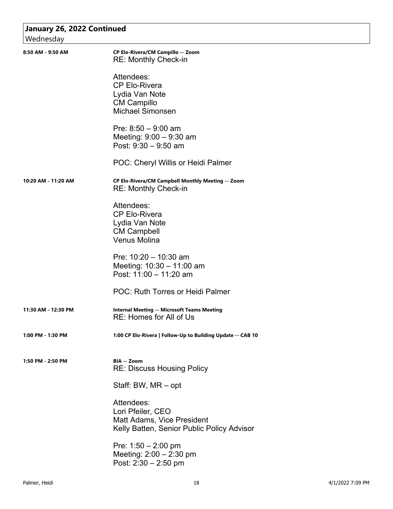| January 26, 2022 Continued<br>Wednesday |                                                                                                             |
|-----------------------------------------|-------------------------------------------------------------------------------------------------------------|
| 8:50 AM - 9:50 AM                       | CP Elo-Rivera/CM Campillo -- Zoom<br><b>RE: Monthly Check-in</b>                                            |
|                                         | Attendees:<br><b>CP Elo-Rivera</b><br>Lydia Van Note<br><b>CM Campillo</b><br><b>Michael Simonsen</b>       |
|                                         | Pre: $8:50 - 9:00$ am<br>Meeting: $9:00 - 9:30$ am<br>Post: $9:30 - 9:50$ am                                |
|                                         | POC: Cheryl Willis or Heidi Palmer                                                                          |
| 10:20 AM - 11:20 AM                     | CP Elo-Rivera/CM Campbell Monthly Meeting -- Zoom<br><b>RE: Monthly Check-in</b>                            |
|                                         | Attendees:<br><b>CP Elo-Rivera</b><br>Lydia Van Note<br><b>CM Campbell</b><br><b>Venus Molina</b>           |
|                                         | Pre: $10:20 - 10:30$ am<br>Meeting: 10:30 - 11:00 am<br>Post: 11:00 - 11:20 am                              |
|                                         | POC: Ruth Torres or Heidi Palmer                                                                            |
| 11:30 AM - 12:30 PM                     | <b>Internal Meeting -- Microsoft Teams Meeting</b><br><b>RE: Homes for All of Us</b>                        |
| 1:00 PM - 1:30 PM                       | 1:00 CP Elo-Rivera   Follow-Up to Building Update -- CAB 10                                                 |
| 1:50 PM - 2:50 PM                       | BIA -- Zoom<br><b>RE: Discuss Housing Policy</b>                                                            |
|                                         | Staff: BW, MR – opt                                                                                         |
|                                         | Attendees:<br>Lori Pfeiler, CEO<br>Matt Adams, Vice President<br>Kelly Batten, Senior Public Policy Advisor |
|                                         | Pre: $1:50 - 2:00$ pm<br>Meeting: 2:00 - 2:30 pm<br>Post: $2:30 - 2:50$ pm                                  |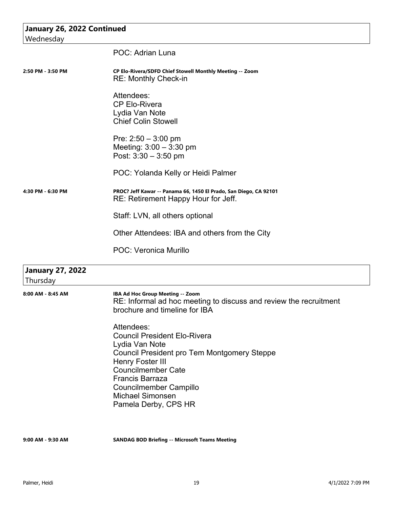| January 26, 2022 Continued          |                                                                                                                                                      |
|-------------------------------------|------------------------------------------------------------------------------------------------------------------------------------------------------|
| Wednesday                           |                                                                                                                                                      |
|                                     | POC: Adrian Luna                                                                                                                                     |
| 2:50 PM - 3:50 PM                   | CP Elo-Rivera/SDFD Chief Stowell Monthly Meeting -- Zoom<br><b>RE: Monthly Check-in</b>                                                              |
|                                     | Attendees:<br><b>CP Elo-Rivera</b><br>Lydia Van Note<br><b>Chief Colin Stowell</b>                                                                   |
|                                     | Pre: $2:50 - 3:00$ pm<br>Meeting: $3:00 - 3:30$ pm<br>Post: $3:30 - 3:50$ pm                                                                         |
|                                     | POC: Yolanda Kelly or Heidi Palmer                                                                                                                   |
| 4:30 PM - 6:30 PM                   | PROC? Jeff Kawar -- Panama 66, 1450 El Prado, San Diego, CA 92101<br>RE: Retirement Happy Hour for Jeff.                                             |
|                                     | Staff: LVN, all others optional                                                                                                                      |
|                                     | Other Attendees: IBA and others from the City                                                                                                        |
|                                     | <b>POC: Veronica Murillo</b>                                                                                                                         |
| <b>January 27, 2022</b><br>Thursday |                                                                                                                                                      |
| 8:00 AM - 8:45 AM                   | IBA Ad Hoc Group Meeting -- Zoom<br>RE: Informal ad hoc meeting to discuss and review the recruitment<br>brochure and timeline for IBA               |
|                                     | Attendees:<br><b>Council President Elo-Rivera</b><br>Lydia Van Note<br><b>Council President pro Tem Montgomery Steppe</b><br><b>Henry Foster III</b> |
|                                     | <b>Councilmember Cate</b><br><b>Francis Barraza</b>                                                                                                  |
|                                     | <b>Councilmember Campillo</b>                                                                                                                        |
|                                     | <b>Michael Simonsen</b><br>Pamela Derby, CPS HR                                                                                                      |
| 9:00 AM - 9:30 AM                   | <b>SANDAG BOD Briefing -- Microsoft Teams Meeting</b>                                                                                                |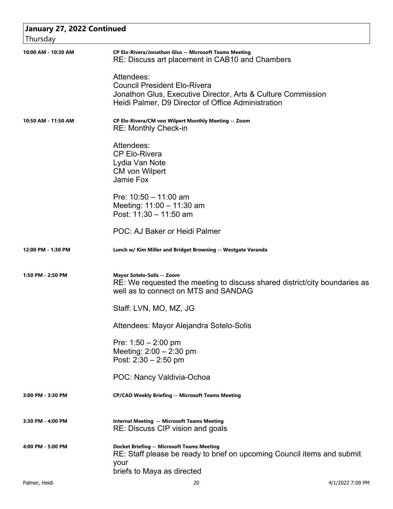| <b>January 27, 2022 Continued</b> |                                                                                                                                                                         |
|-----------------------------------|-------------------------------------------------------------------------------------------------------------------------------------------------------------------------|
| Thursday                          |                                                                                                                                                                         |
| 10:00 AM - 10:30 AM               | CP Elo-Rivera/Jonathon Glus -- Microsoft Teams Meeting<br>RE: Discuss art placement in CAB10 and Chambers                                                               |
|                                   | Attendees:<br><b>Council President Elo-Rivera</b><br>Jonathon Glus, Executive Director, Arts & Culture Commission<br>Heidi Palmer, D9 Director of Office Administration |
| 10:50 AM - 11:50 AM               | CP Elo-Rivera/CM von Wilpert Monthly Meeting -- Zoom<br><b>RE: Monthly Check-in</b>                                                                                     |
|                                   | Attendees:<br><b>CP Elo-Rivera</b><br>Lydia Van Note<br><b>CM</b> von Wilpert<br>Jamie Fox                                                                              |
|                                   | Pre: $10:50 - 11:00$ am<br>Meeting: 11:00 - 11:30 am<br>Post: 11:30 - 11:50 am                                                                                          |
|                                   | POC: AJ Baker or Heidi Palmer                                                                                                                                           |
| 12:00 PM - 1:30 PM                | Lunch w/ Kim Miller and Bridget Browning -- Westgate Veranda                                                                                                            |
| 1:50 PM - 2:50 PM                 | Mayor Sotelo-Solis -- Zoom<br>RE: We requested the meeting to discuss shared district/city boundaries as<br>well as to connect on MTS and SANDAG                        |
|                                   | Staff: LVN, MO, MZ, JG                                                                                                                                                  |
|                                   | Attendees: Mayor Alejandra Sotelo-Solis                                                                                                                                 |
|                                   | Pre: $1:50 - 2:00$ pm<br>Meeting: $2:00 - 2:30$ pm<br>Post: $2:30 - 2:50$ pm                                                                                            |
|                                   | POC: Nancy Valdivia-Ochoa                                                                                                                                               |
| 3:00 PM - 3:30 PM                 | <b>CP/CAO Weekly Briefing -- Microsoft Teams Meeting</b>                                                                                                                |
| 3:30 PM - 4:00 PM                 | <b>Internal Meeting -- Microsoft Teams Meeting</b><br>RE: Discuss CIP vision and goals                                                                                  |
| 4:00 PM - 5:00 PM                 | <b>Docket Briefing -- Microsoft Teams Meeting</b><br>RE: Staff please be ready to brief on upcoming Council items and submit<br>your<br>briefs to Maya as directed      |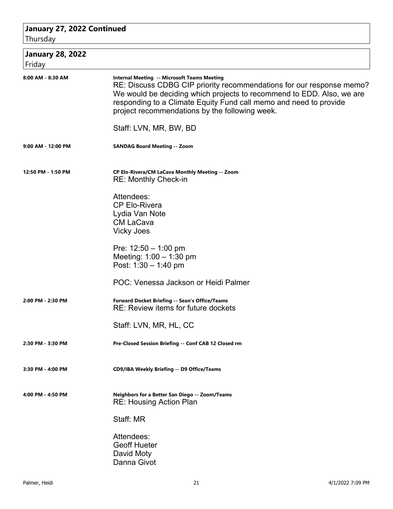#### **January 27, 2022 Continued**

Thursday

| <b>January 28, 2022</b><br>Friday |                                                                                                                                                                                                                                                                                                                            |
|-----------------------------------|----------------------------------------------------------------------------------------------------------------------------------------------------------------------------------------------------------------------------------------------------------------------------------------------------------------------------|
| 8:00 AM - 8:30 AM                 | <b>Internal Meeting -- Microsoft Teams Meeting</b><br>RE: Discuss CDBG CIP priority recommendations for our response memo?<br>We would be deciding which projects to recommend to EDD. Also, we are<br>responding to a Climate Equity Fund call memo and need to provide<br>project recommendations by the following week. |
|                                   | Staff: LVN, MR, BW, BD                                                                                                                                                                                                                                                                                                     |
| 9:00 AM - 12:00 PM                | <b>SANDAG Board Meeting -- Zoom</b>                                                                                                                                                                                                                                                                                        |
| 12:50 PM - 1:50 PM                | CP Elo-Rivera/CM LaCava Monthly Meeting -- Zoom<br><b>RE: Monthly Check-in</b>                                                                                                                                                                                                                                             |
|                                   | Attendees:<br><b>CP Elo-Rivera</b><br>Lydia Van Note<br><b>CM LaCava</b><br><b>Vicky Joes</b>                                                                                                                                                                                                                              |
|                                   | Pre: $12:50 - 1:00$ pm<br>Meeting: $1:00 - 1:30$ pm<br>Post: $1:30 - 1:40$ pm                                                                                                                                                                                                                                              |
|                                   | POC: Venessa Jackson or Heidi Palmer                                                                                                                                                                                                                                                                                       |
| 2:00 PM - 2:30 PM                 | Forward Docket Briefing -- Sean's Office/Teams<br>RE: Review items for future dockets                                                                                                                                                                                                                                      |
|                                   | Staff: LVN, MR, HL, CC                                                                                                                                                                                                                                                                                                     |
| 2:30 PM - 3:30 PM                 | Pre-Closed Session Briefing -- Conf CAB 12 Closed rm                                                                                                                                                                                                                                                                       |
| 3:30 PM - 4:00 PM                 | CD9/IBA Weekly Briefing -- D9 Office/Teams                                                                                                                                                                                                                                                                                 |
| 4:00 PM - 4:50 PM                 | Neighbors for a Better San Diego -- Zoom/Teams<br><b>RE: Housing Action Plan</b>                                                                                                                                                                                                                                           |
|                                   | Staff: MR                                                                                                                                                                                                                                                                                                                  |
|                                   | Attendees:<br><b>Geoff Hueter</b><br>David Moty<br>Danna Givot                                                                                                                                                                                                                                                             |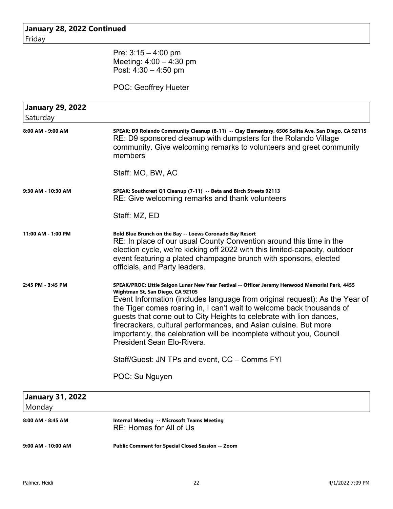| January 28, 2022 Continued |                                                                                                                                                                                                                                                                                                                                                                                                                                                                                                                                              |
|----------------------------|----------------------------------------------------------------------------------------------------------------------------------------------------------------------------------------------------------------------------------------------------------------------------------------------------------------------------------------------------------------------------------------------------------------------------------------------------------------------------------------------------------------------------------------------|
| Friday                     |                                                                                                                                                                                                                                                                                                                                                                                                                                                                                                                                              |
|                            | Pre: $3:15 - 4:00$ pm                                                                                                                                                                                                                                                                                                                                                                                                                                                                                                                        |
|                            | Meeting: $4:00 - 4:30$ pm                                                                                                                                                                                                                                                                                                                                                                                                                                                                                                                    |
|                            | Post: $4:30 - 4:50$ pm                                                                                                                                                                                                                                                                                                                                                                                                                                                                                                                       |
|                            | POC: Geoffrey Hueter                                                                                                                                                                                                                                                                                                                                                                                                                                                                                                                         |
| <b>January 29, 2022</b>    |                                                                                                                                                                                                                                                                                                                                                                                                                                                                                                                                              |
| Saturday                   |                                                                                                                                                                                                                                                                                                                                                                                                                                                                                                                                              |
| 8:00 AM - 9:00 AM          | SPEAK: D9 Rolando Community Cleanup (8-11) -- Clay Elementary, 6506 Solita Ave, San Diego, CA 92115<br>RE: D9 sponsored cleanup with dumpsters for the Rolando Village<br>community. Give welcoming remarks to volunteers and greet community<br>members                                                                                                                                                                                                                                                                                     |
|                            | Staff: MO, BW, AC                                                                                                                                                                                                                                                                                                                                                                                                                                                                                                                            |
| 9:30 AM - 10:30 AM         | SPEAK: Southcrest Q1 Cleanup (7-11) -- Beta and Birch Streets 92113<br>RE: Give welcoming remarks and thank volunteers                                                                                                                                                                                                                                                                                                                                                                                                                       |
|                            | Staff: MZ, ED                                                                                                                                                                                                                                                                                                                                                                                                                                                                                                                                |
| 11:00 AM - 1:00 PM         | Bold Blue Brunch on the Bay -- Loews Coronado Bay Resort<br>RE: In place of our usual County Convention around this time in the<br>election cycle, we're kicking off 2022 with this limited-capacity, outdoor<br>event featuring a plated champagne brunch with sponsors, elected<br>officials, and Party leaders.                                                                                                                                                                                                                           |
| 2:45 PM - 3:45 PM          | SPEAK/PROC: Little Saigon Lunar New Year Festival -- Officer Jeremy Henwood Memorial Park, 4455<br>Wightman St, San Diego, CA 92105<br>Event Information (includes language from original request): As the Year of<br>the Tiger comes roaring in, I can't wait to welcome back thousands of<br>guests that come out to City Heights to celebrate with lion dances,<br>firecrackers, cultural performances, and Asian cuisine. But more<br>importantly, the celebration will be incomplete without you, Council<br>President Sean Elo-Rivera. |
|                            | Staff/Guest: JN TPs and event, CC - Comms FYI                                                                                                                                                                                                                                                                                                                                                                                                                                                                                                |
|                            | POC: Su Nguyen                                                                                                                                                                                                                                                                                                                                                                                                                                                                                                                               |
| <b>January 31, 2022</b>    |                                                                                                                                                                                                                                                                                                                                                                                                                                                                                                                                              |
| Monday                     |                                                                                                                                                                                                                                                                                                                                                                                                                                                                                                                                              |
| 8:00 AM - 8:45 AM          | <b>Internal Meeting -- Microsoft Teams Meeting</b>                                                                                                                                                                                                                                                                                                                                                                                                                                                                                           |

RE: Homes for All of Us

**9:00 AM - 10:00 AM Public Comment for Special Closed Session -- Zoom**